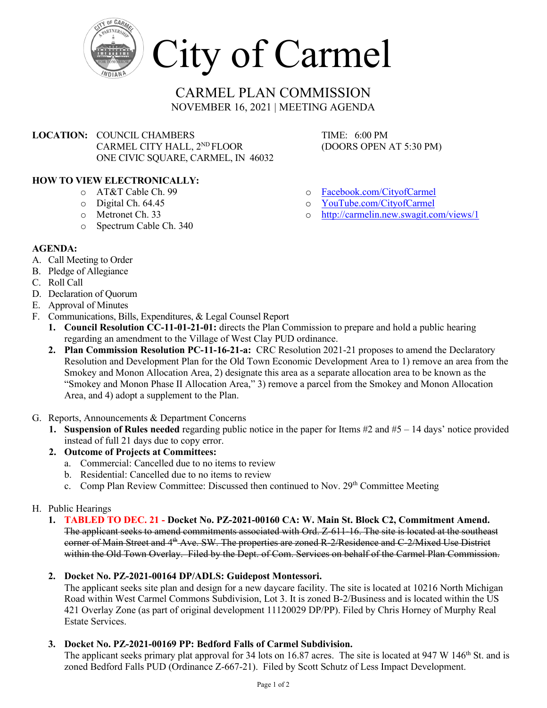

City of Carmel

# CARMEL PLAN COMMISSION NOVEMBER 16, 2021 | MEETING AGENDA

**LOCATION:** COUNCIL CHAMBERS TIME: 6:00 PM<br>CARMEL CITY HALL, 2<sup>ND</sup> FLOOR (DOORS OPEN AT 5:30 PM) CARMEL CITY HALL, 2<sup>ND</sup> FLOOR ONE CIVIC SQUARE, CARMEL, IN 46032

# **HOW TO VIEW ELECTRONICALLY:**

- o AT&T Cable Ch. 99
- o Digital Ch. 64.45
- o Metronet Ch. 33
- o Spectrum Cable Ch. 340

# **AGENDA:**

- A. Call Meeting to Order
- B. Pledge of Allegiance
- C. Roll Call
- D. Declaration of Quorum
- E. Approval of Minutes
- F. Communications, Bills, Expenditures, & Legal Counsel Report
	- **1. Council Resolution CC-11-01-21-01:** directs the Plan Commission to prepare and hold a public hearing regarding an amendment to the Village of West Clay PUD ordinance.
	- **2. Plan Commission Resolution PC-11-16-21-a:** CRC Resolution 2021-21 proposes to amend the Declaratory Resolution and Development Plan for the Old Town Economic Development Area to 1) remove an area from the Smokey and Monon Allocation Area, 2) designate this area as a separate allocation area to be known as the "Smokey and Monon Phase II Allocation Area," 3) remove a parcel from the Smokey and Monon Allocation Area, and 4) adopt a supplement to the Plan.
- G. Reports, Announcements & Department Concerns
	- **1. Suspension of Rules needed** regarding public notice in the paper for Items #2 and #5 14 days' notice provided instead of full 21 days due to copy error.

# **2. Outcome of Projects at Committees:**

- a. Commercial: Cancelled due to no items to review
- b. Residential: Cancelled due to no items to review
- c. Comp Plan Review Committee: Discussed then continued to Nov. 29<sup>th</sup> Committee Meeting

# H. Public Hearings

**1. TABLED TO DEC. 21 - Docket No. PZ-2021-00160 CA: W. Main St. Block C2, Commitment Amend.** The applicant seeks to amend commitments associated with Ord. Z-611-16. The site is located at the southeast corner of Main Street and 4<sup>th</sup> Ave. SW. The properties are zoned R-2/Residence and C-2/Mixed Use District within the Old Town Overlay. Filed by the Dept. of Com. Services on behalf of the Carmel Plan Commission.

# **2. Docket No. PZ-2021-00164 DP/ADLS: Guidepost Montessori.**

The applicant seeks site plan and design for a new daycare facility. The site is located at 10216 North Michigan Road within West Carmel Commons Subdivision, Lot 3. It is zoned B-2/Business and is located within the US 421 Overlay Zone (as part of original development 11120029 DP/PP). Filed by Chris Horney of Murphy Real Estate Services.

# **3. Docket No. PZ-2021-00169 PP: Bedford Falls of Carmel Subdivision.**

The applicant seeks primary plat approval for 34 lots on 16.87 acres. The site is located at  $947 \text{ W}$  146<sup>th</sup> St. and is zoned Bedford Falls PUD (Ordinance Z-667-21). Filed by Scott Schutz of Less Impact Development.

- o [Facebook.com/CityofCarmel](https://www.facebook.com/CityofCarmel/)
- o [YouTube.com/CityofCarmel](https://www.youtube.com/channel/UCehYsbi2i8jGvjkmE9cSPmg)
- o <http://carmelin.new.swagit.com/views/1>